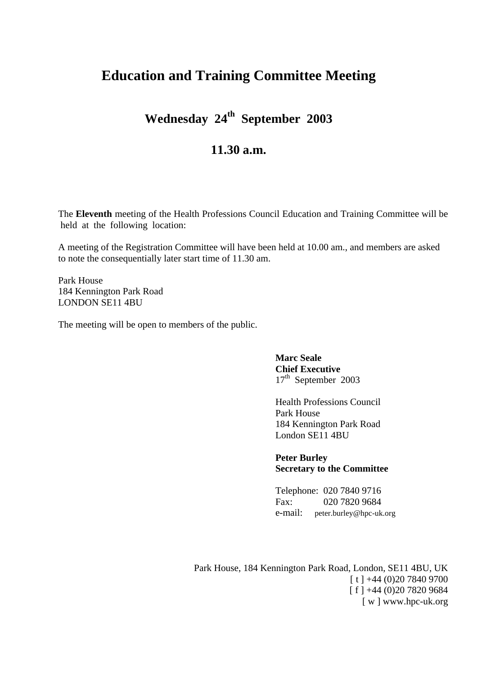## **Education and Training Committee Meeting**

**Wednesday 24th September 2003**

## **11.30 a.m.**

The **Eleventh** meeting of the Health Professions Council Education and Training Committee will be held at the following location:

A meeting of the Registration Committee will have been held at 10.00 am., and members are asked to note the consequentially later start time of 11.30 am.

Park House 184 Kennington Park Road LONDON SE11 4BU

The meeting will be open to members of the public.

**Marc Seale Chief Executive** 17<sup>th</sup> September 2003

Health Professions Council Park House 184 Kennington Park Road London SE11 4BU

**Peter Burley Secretary to the Committee**

Telephone: 020 7840 9716 Fax: 020 7820 9684 e-mail: peter.burley@hpc-uk.org

Park House, 184 Kennington Park Road, London, SE11 4BU, UK  $[t] +44(0)2078409700$  $\lceil f \rceil + 44 (0)20 7820 9684$ [ w ] www.hpc-uk.org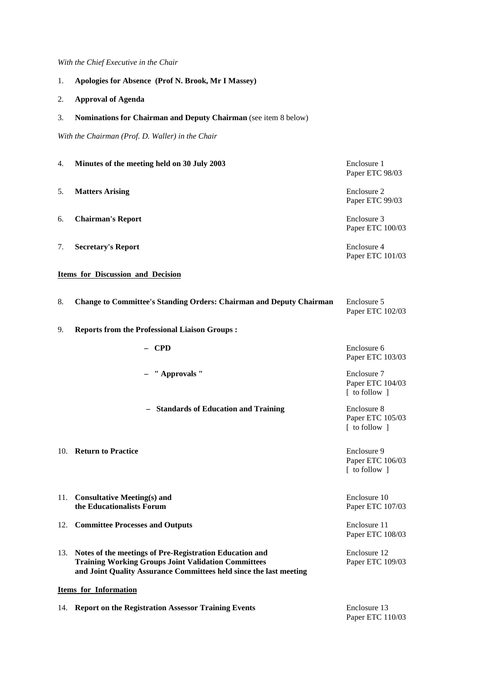*With the Chief Executive in the Chair*

- 1. **Apologies for Absence (Prof N. Brook, Mr I Massey)**
- 2. **Approval of Agenda**
- 3. **Nominations for Chairman and Deputy Chairman** (see item 8 below)

*With the Chairman (Prof. D. Waller) in the Chair*

| 4.                                       | Minutes of the meeting held on 30 July 2003                                                                                                                                                 | Enclosure 1<br>Paper ETC 98/03                   |  |
|------------------------------------------|---------------------------------------------------------------------------------------------------------------------------------------------------------------------------------------------|--------------------------------------------------|--|
| 5.                                       | <b>Matters Arising</b>                                                                                                                                                                      | Enclosure 2<br>Paper ETC 99/03                   |  |
| 6.                                       | <b>Chairman's Report</b>                                                                                                                                                                    | Enclosure 3<br>Paper ETC 100/03                  |  |
| 7.                                       | <b>Secretary's Report</b>                                                                                                                                                                   | Enclosure 4<br>Paper ETC 101/03                  |  |
| <b>Items for Discussion and Decision</b> |                                                                                                                                                                                             |                                                  |  |
| 8.                                       | <b>Change to Committee's Standing Orders: Chairman and Deputy Chairman</b>                                                                                                                  | Enclosure 5<br>Paper ETC 102/03                  |  |
| 9.                                       | <b>Reports from the Professional Liaison Groups:</b>                                                                                                                                        |                                                  |  |
|                                          | $-$ CPD                                                                                                                                                                                     | Enclosure 6<br>Paper ETC 103/03                  |  |
|                                          | " Approvals "                                                                                                                                                                               | Enclosure 7<br>Paper ETC 104/03<br>[ to follow ] |  |
|                                          | - Standards of Education and Training                                                                                                                                                       | Enclosure 8<br>Paper ETC 105/03<br>[ to follow ] |  |
|                                          | 10. Return to Practice                                                                                                                                                                      | Enclosure 9<br>Paper ETC 106/03<br>[ to follow ] |  |
| 11.                                      | <b>Consultative Meeting(s) and</b><br>the Educationalists Forum                                                                                                                             | Enclosure 10<br>Paper ETC 107/03                 |  |
|                                          | 12. Committee Processes and Outputs                                                                                                                                                         | Enclosure 11<br>Paper ETC 108/03                 |  |
| 13.                                      | Notes of the meetings of Pre-Registration Education and<br><b>Training Working Groups Joint Validation Committees</b><br>and Joint Quality Assurance Committees held since the last meeting | Enclosure 12<br>Paper ETC 109/03                 |  |
| Items for Information                    |                                                                                                                                                                                             |                                                  |  |
|                                          | 14. Report on the Registration Assessor Training Events                                                                                                                                     | Enclosure 13<br>Paper ETC 110/03                 |  |